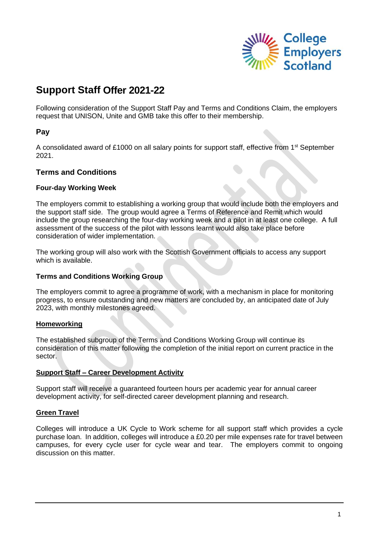

# **Support Staff Offer 2021-22**

Following consideration of the Support Staff Pay and Terms and Conditions Claim, the employers request that UNISON, Unite and GMB take this offer to their membership.

# **Pay**

A consolidated award of £1000 on all salary points for support staff, effective from 1<sup>st</sup> September 2021.

# **Terms and Conditions**

#### **Four-day Working Week**

The employers commit to establishing a working group that would include both the employers and the support staff side. The group would agree a Terms of Reference and Remit which would include the group researching the four-day working week and a pilot in at least one college. A full assessment of the success of the pilot with lessons learnt would also take place before consideration of wider implementation.

The working group will also work with the Scottish Government officials to access any support which is available.

#### **Terms and Conditions Working Group**

The employers commit to agree a programme of work, with a mechanism in place for monitoring progress, to ensure outstanding and new matters are concluded by, an anticipated date of July 2023, with monthly milestones agreed.

#### **Homeworking**

The established subgroup of the Terms and Conditions Working Group will continue its consideration of this matter following the completion of the initial report on current practice in the sector.

#### **Support Staff – Career Development Activity**

Support staff will receive a guaranteed fourteen hours per academic year for annual career development activity, for self-directed career development planning and research.

#### **Green Travel**

Colleges will introduce a UK Cycle to Work scheme for all support staff which provides a cycle purchase loan. In addition, colleges will introduce a £0.20 per mile expenses rate for travel between campuses, for every cycle user for cycle wear and tear. The employers commit to ongoing discussion on this matter.